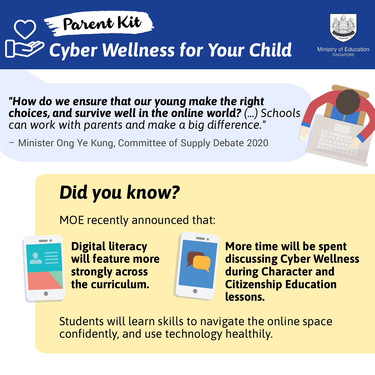



**Ministry of Education SINGAPORE** 

*"How do we ensure that our young make the right choices, and survive well in the online world? (...) Schools can work with parents and make a big difference."* 

– Minister Ong Ye Kung, Committee of Supply Debate 2020

MOE recently announced that:



Students will learn skills to navigate the online space confidently, and use technology healthily.

# *Did you know?*

**Digital literacy will feature more strongly across the curriculum.**



**More time will be spent discussing Cyber Wellness during Character and Citizenship Education lessons.**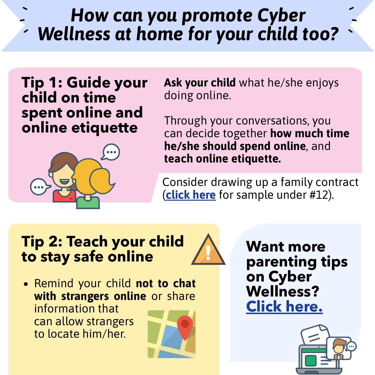# *How can you promote Cyber Wellness at home for your child too?*

Tip 1: Guide your child on time spen<sup>t</sup> online and online etiquette



**Ask your child** what he/she enjoys doing online.

Through your conversations, you can decide together **how much time he/she should spend online**, and **teach online etiquette.**

[Consider drawing up a family contract](http://bit.ly/ParentKitSample1)

### (**click here** for sample under #12).

# Tip 2: Teach your child to stay safe online



Want more parenting tips on Cyber Wellness? Click here.

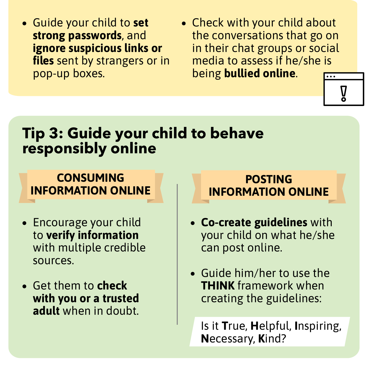## Tip 3: Guide your child to behave responsibly online

- Encourage your child to **verify information** with multiple credible sources.
- Get them to **check with you or a trusted adult** when in doubt.
- Guide your child to **set strong passwords**, and **ignore suspicious links or files** sent by strangers or in pop-up boxes.
- Check with your child about the conversations that go on in their chat groups or social media to assess if he/she is being **bullied online**.  $\bullet\bullet\bullet$



#### **CONSUMING INFORMATION ONLINE**

- **Co-create guidelines** with your child on what he/she can post online.
- Guide him/her to use the **THINK** framework when creating the guidelines:

Is it **T**rue, **H**elpful, **I**nspiring, **N**ecessary, **K**ind?

**POSTING**

#### **INFORMATION ONLINE**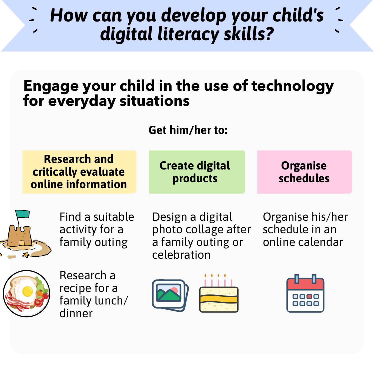#### *How can you develop your child's digital literacy skills?*  $\overline{\mathscr{C}}$

## Engage your child in the use of technology for everyday situations

**Research and critically evaluate online information** **Get him/her to:**

Find a suitable activity for a family outing

Research a recipe for a family lunch/ dinner





**Create digital products**

Design a digital photo collage after a family outing or celebration

**Organise schedules**



Organise his/her schedule in an online calendar